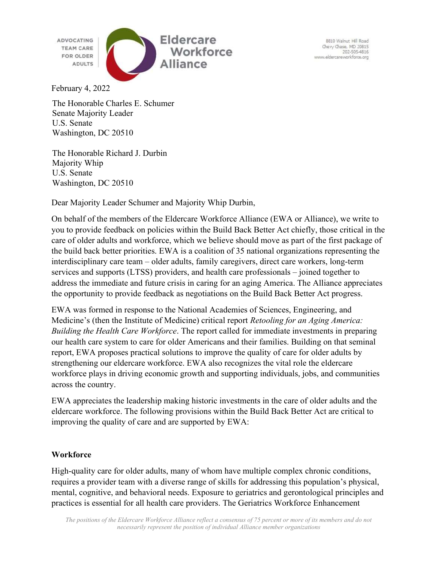**ADVOCATING TEAM CARE** FOR OLDER **ADULTS** 



8810 Walnut Hill Road Ohevy Chase, MD 20815<br>202-505-4816 www.eldercareworkforce.org

February 4, 2022

The Honorable Charles E. Schumer Senate Majority Leader U.S. Senate Washington, DC 20510

The Honorable Richard J. Durbin Majority Whip U.S. Senate Washington, DC 20510

Dear Majority Leader Schumer and Majority Whip Durbin,

On behalf of the members of the Eldercare Workforce Alliance (EWA or Alliance), we write to you to provide feedback on policies within the Build Back Better Act chiefly, those critical in the care of older adults and workforce, which we believe should move as part of the first package of the build back better priorities. EWA is a coalition of 35 national organizations representing the interdisciplinary care team – older adults, family caregivers, direct care workers, long-term services and supports (LTSS) providers, and health care professionals – joined together to address the immediate and future crisis in caring for an aging America. The Alliance appreciates the opportunity to provide feedback as negotiations on the Build Back Better Act progress.

EWA was formed in response to the National Academies of Sciences, Engineering, and Medicine's (then the Institute of Medicine) critical report *Retooling for an Aging America*: Building the Health Care Workforce. The report called for immediate investments in preparing our health care system to care for older Americans and their families. Building on that seminal report, EWA proposes practical solutions to improve the quality of care for older adults by strengthening our eldercare workforce. EWA also recognizes the vital role the eldercare workforce plays in driving economic growth and supporting individuals, jobs, and communities across the country.

EWA appreciates the leadership making historic investments in the care of older adults and the eldercare workforce. The following provisions within the Build Back Better Act are critical to improving the quality of care and are supported by EWA:

## **Workforce**

High-quality care for older adults, many of whom have multiple complex chronic conditions, requires a provider team with a diverse range of skills for addressing this population's physical, mental, cognitive, and behavioral needs. Exposure to geriatrics and gerontological principles and practices is essential for all health care providers. The Geriatrics Workforce Enhancement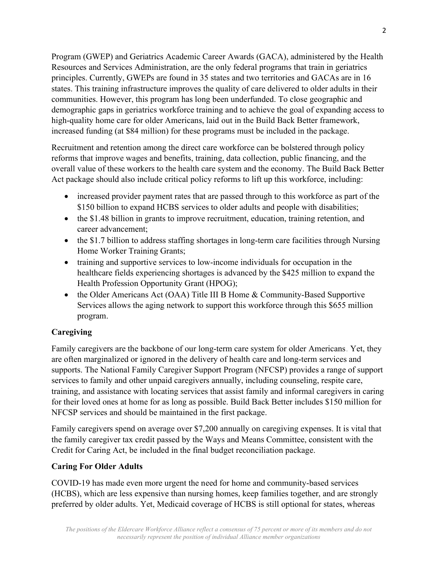Program (GWEP) and Geriatrics Academic Career Awards (GACA), administered by the Health Resources and Services Administration, are the only federal programs that train in geriatrics principles. Currently, GWEPs are found in 35 states and two territories and GACAs are in 16 states. This training infrastructure improves the quality of care delivered to older adults in their communities. However, this program has long been underfunded. To close geographic and demographic gaps in geriatrics workforce training and to achieve the goal of expanding access to high-quality home care for older Americans, laid out in the Build Back Better framework, increased funding (at \$84 million) for these programs must be included in the package.

Recruitment and retention among the direct care workforce can be bolstered through policy reforms that improve wages and benefits, training, data collection, public financing, and the overall value of these workers to the health care system and the economy. The Build Back Better Act package should also include critical policy reforms to lift up this workforce, including:

- increased provider payment rates that are passed through to this workforce as part of the \$150 billion to expand HCBS services to older adults and people with disabilities;
- the \$1.48 billion in grants to improve recruitment, education, training retention, and career advancement;
- the \$1.7 billion to address staffing shortages in long-term care facilities through Nursing Home Worker Training Grants;
- training and supportive services to low-income individuals for occupation in the healthcare fields experiencing shortages is advanced by the \$425 million to expand the Health Profession Opportunity Grant (HPOG);
- the Older Americans Act (OAA) Title III B Home & Community-Based Supportive Services allows the aging network to support this workforce through this \$655 million program.

## Caregiving

Family caregivers are the backbone of our long-term care system for older Americans. Yet, they are often marginalized or ignored in the delivery of health care and long-term services and supports. The National Family Caregiver Support Program (NFCSP) provides a range of support services to family and other unpaid caregivers annually, including counseling, respite care, training, and assistance with locating services that assist family and informal caregivers in caring for their loved ones at home for as long as possible. Build Back Better includes \$150 million for NFCSP services and should be maintained in the first package.

Family caregivers spend on average over \$7,200 annually on caregiving expenses. It is vital that the family caregiver tax credit passed by the Ways and Means Committee, consistent with the Credit for Caring Act, be included in the final budget reconciliation package.

## Caring For Older Adults

COVID-19 has made even more urgent the need for home and community-based services (HCBS), which are less expensive than nursing homes, keep families together, and are strongly preferred by older adults. Yet, Medicaid coverage of HCBS is still optional for states, whereas